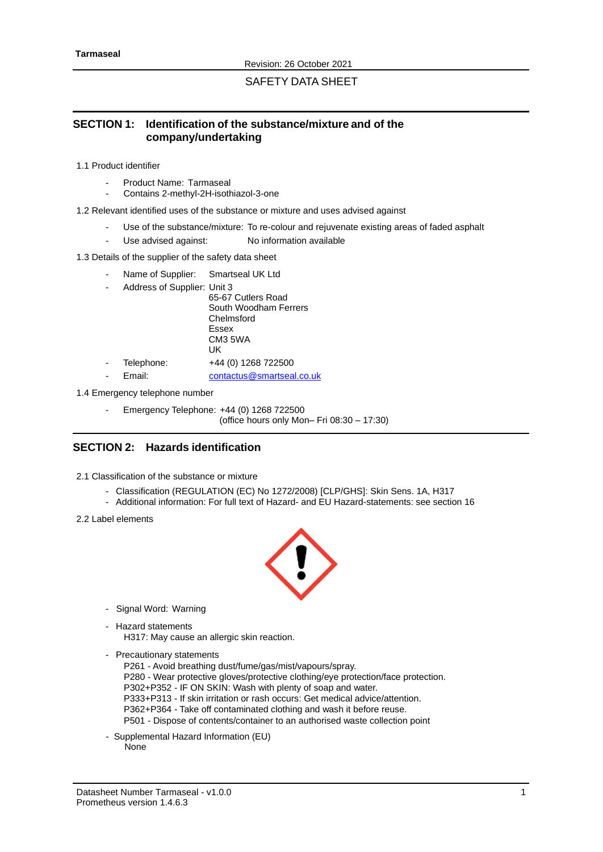SAFETY DATA SHEET

# **SECTION 1: Identification of the substance/mixture and of the company/undertaking**

1.1 Product identifier

- Product Name: Tarmaseal
- Contains 2-methyl-2H-isothiazol-3-one
- 1.2 Relevant identified uses of the substance or mixture and uses advised against
	- Use of the substance/mixture: To re-colour and rejuvenate existing areas of faded asphalt
	- Use advised against: No information available

#### 1.3 Details of the supplier of the safety data sheet

- Name of Supplier: Smartseal UK Ltd
- Address of Supplier: Unit 3

65-67 Cutlers Road South Woodham Ferrers Chelmsford Essex CM3 5WA UK Telephone: +44 (0) 1268 722500

Email: [contactus@smartseal.co.uk](mailto:contactus@smartseal.co.uk)

1.4 Emergency telephone number

Emergency Telephone: +44 (0) 1268 722500 (office hours only Mon– Fri 08:30 – 17:30)

# **SECTION 2: Hazards identification**

- 2.1 Classification of the substance or mixture
	- Classification (REGULATION (EC) No 1272/2008) [CLP/GHS]: Skin Sens. 1A, H317
	- Additional information: For full text of Hazard- and EU Hazard-statements: see section 16
- 2.2 Label elements



- Signal Word: Warning
- Hazard statements
	- H317: May cause an allergic skin reaction.
- Precautionary statements
	- P261 Avoid breathing dust/fume/gas/mist/vapours/spray. P280 - Wear protective gloves/protective clothing/eye protection/face protection. P302+P352 - IF ON SKIN: Wash with plenty of soap and water. P333+P313 - If skin irritation or rash occurs: Get medical advice/attention. P362+P364 - Take off contaminated clothing and wash it before reuse. P501 - Dispose of contents/container to an authorised waste collection point
- Supplemental Hazard Information (EU) None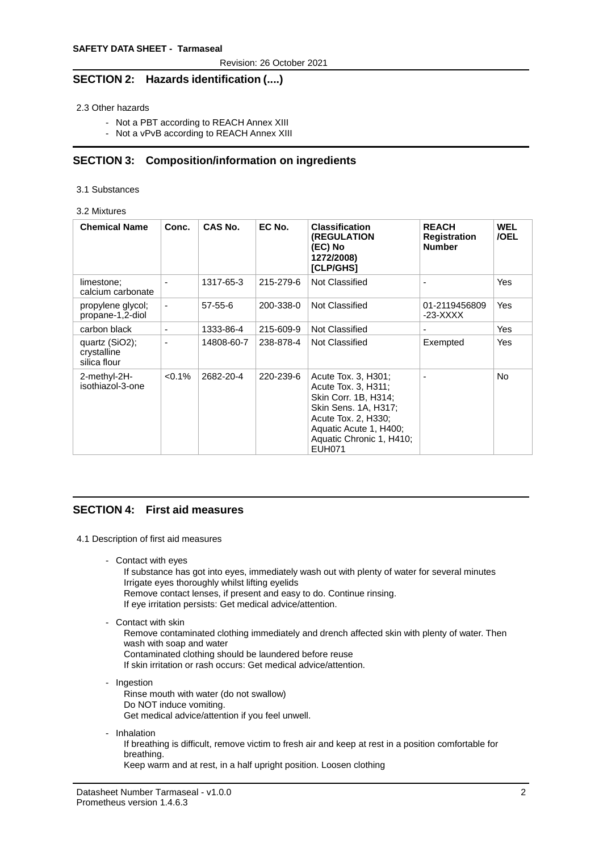## **SECTION 2: Hazards identification (....)**

2.3 Other hazards

- Not a PBT according to REACH Annex XIII
- Not a vPvB according to REACH Annex XIII

## **SECTION 3: Composition/information on ingredients**

3.1 Substances

#### 3.2 Mixtures

| <b>Chemical Name</b>                          | Conc.          | CAS No.       | EC No.    | <b>Classification</b><br><b>(REGULATION</b><br>(EC) No<br>1272/2008)<br><b>[CLP/GHS]</b>                                                                                                 | <b>REACH</b><br><b>Registration</b><br><b>Number</b> | <b>WEL</b><br>/OEL |
|-----------------------------------------------|----------------|---------------|-----------|------------------------------------------------------------------------------------------------------------------------------------------------------------------------------------------|------------------------------------------------------|--------------------|
| limestone;<br>calcium carbonate               |                | 1317-65-3     | 215-279-6 | Not Classified                                                                                                                                                                           |                                                      | Yes                |
| propylene glycol;<br>propane-1,2-diol         | $\blacksquare$ | $57 - 55 - 6$ | 200-338-0 | Not Classified                                                                                                                                                                           | 01-2119456809<br>$-23-XXXX$                          | Yes                |
| carbon black                                  | $\blacksquare$ | 1333-86-4     | 215-609-9 | Not Classified                                                                                                                                                                           |                                                      | Yes                |
| quartz (SiO2);<br>crystalline<br>silica flour |                | 14808-60-7    | 238-878-4 | Not Classified                                                                                                                                                                           | Exempted                                             | Yes                |
| 2-methyl-2H-<br>isothiazol-3-one              | $< 0.1\%$      | 2682-20-4     | 220-239-6 | Acute Tox. 3, H301;<br>Acute Tox. 3, H311:<br>Skin Corr. 1B, H314;<br>Skin Sens. 1A, H317;<br>Acute Tox. 2, H330;<br>Aquatic Acute 1, H400;<br>Aquatic Chronic 1, H410;<br><b>EUH071</b> |                                                      | No.                |

## **SECTION 4: First aid measures**

- 4.1 Description of first aid measures
	- Contact with eyes

If substance has got into eyes, immediately wash out with plenty of water for several minutes Irrigate eyes thoroughly whilst lifting eyelids

- Remove contact lenses, if present and easy to do. Continue rinsing.
- If eye irritation persists: Get medical advice/attention.
- Contact with skin

Remove contaminated clothing immediately and drench affected skin with plenty of water. Then wash with soap and water

- Contaminated clothing should be laundered before reuse
- If skin irritation or rash occurs: Get medical advice/attention.
- Ingestion
	- Rinse mouth with water (do not swallow) Do NOT induce vomiting. Get medical advice/attention if you feel unwell.
- Inhalation

If breathing is difficult, remove victim to fresh air and keep at rest in a position comfortable for breathing.

Keep warm and at rest, in a half upright position. Loosen clothing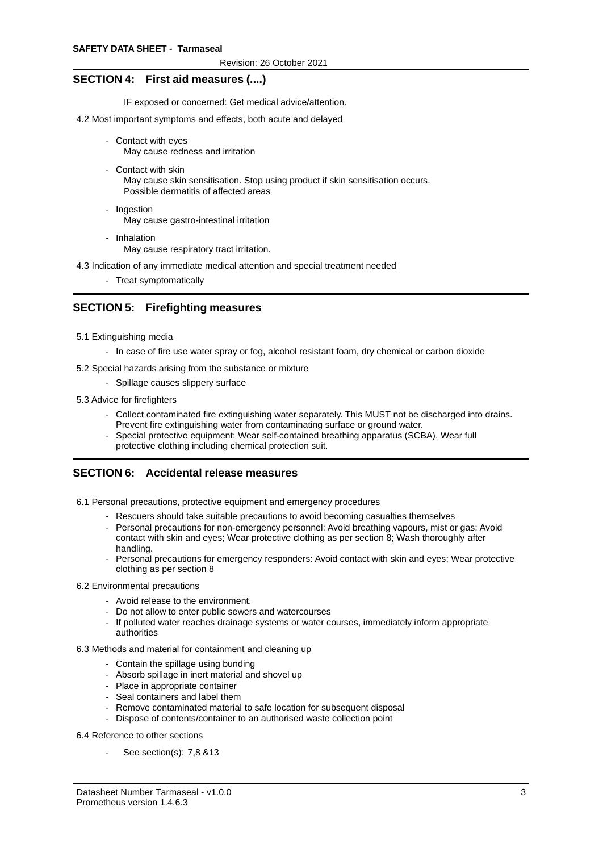### **SECTION 4: First aid measures (....)**

IF exposed or concerned: Get medical advice/attention.

- 4.2 Most important symptoms and effects, both acute and delayed
	- Contact with eyes May cause redness and irritation
	- Contact with skin May cause skin sensitisation. Stop using product if skin sensitisation occurs. Possible dermatitis of affected areas
	- Ingestion May cause gastro-intestinal irritation
	- Inhalation May cause respiratory tract irritation.

4.3 Indication of any immediate medical attention and special treatment needed

- Treat symptomatically

## **SECTION 5: Firefighting measures**

- 5.1 Extinguishing media
	- In case of fire use water spray or fog, alcohol resistant foam, dry chemical or carbon dioxide
- 5.2 Special hazards arising from the substance or mixture
	- Spillage causes slippery surface
- 5.3 Advice for firefighters
	- Collect contaminated fire extinguishing water separately. This MUST not be discharged into drains. Prevent fire extinguishing water from contaminating surface or ground water.
	- Special protective equipment: Wear self-contained breathing apparatus (SCBA). Wear full protective clothing including chemical protection suit.

## **SECTION 6: Accidental release measures**

6.1 Personal precautions, protective equipment and emergency procedures

- Rescuers should take suitable precautions to avoid becoming casualties themselves
- Personal precautions for non-emergency personnel: Avoid breathing vapours, mist or gas; Avoid contact with skin and eyes; Wear protective clothing as per section 8; Wash thoroughly after handling.
- Personal precautions for emergency responders: Avoid contact with skin and eyes; Wear protective clothing as per section 8
- 6.2 Environmental precautions
	- Avoid release to the environment.
	- Do not allow to enter public sewers and watercourses
	- If polluted water reaches drainage systems or water courses, immediately inform appropriate authorities
- 6.3 Methods and material for containment and cleaning up
	- Contain the spillage using bunding
	- Absorb spillage in inert material and shovel up
	- Place in appropriate container
	- Seal containers and label them
	- Remove contaminated material to safe location for subsequent disposal
	- Dispose of contents/container to an authorised waste collection point

#### 6.4 Reference to other sections

See section(s): 7,8 &13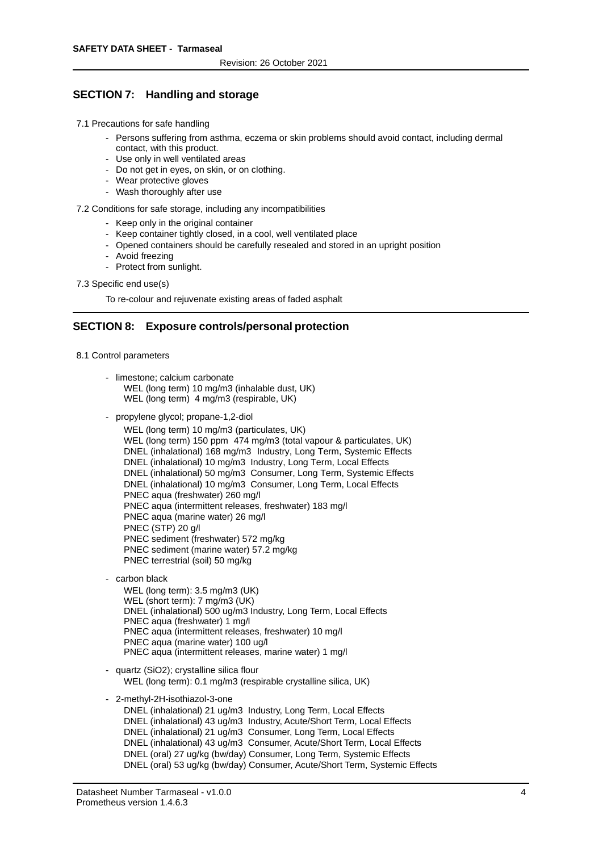## **SECTION 7: Handling and storage**

- 7.1 Precautions for safe handling
	- Persons suffering from asthma, eczema or skin problems should avoid contact, including dermal contact, with this product.
	- Use only in well ventilated areas
	- Do not get in eyes, on skin, or on clothing.
	- Wear protective gloves
	- Wash thoroughly after use

7.2 Conditions for safe storage, including any incompatibilities

- Keep only in the original container
- Keep container tightly closed, in a cool, well ventilated place
- Opened containers should be carefully resealed and stored in an upright position
- Avoid freezing
- Protect from sunlight.
- 7.3 Specific end use(s)

To re-colour and rejuvenate existing areas of faded asphalt

### **SECTION 8: Exposure controls/personal protection**

- 8.1 Control parameters
	- limestone; calcium carbonate WEL (long term) 10 mg/m3 (inhalable dust, UK) WEL (long term) 4 mg/m3 (respirable, UK)
	- propylene glycol; propane-1,2-diol

WEL (long term) 10 mg/m3 (particulates, UK) WEL (long term) 150 ppm 474 mg/m3 (total vapour & particulates, UK) DNEL (inhalational) 168 mg/m3 Industry, Long Term, Systemic Effects DNEL (inhalational) 10 mg/m3 Industry, Long Term, Local Effects DNEL (inhalational) 50 mg/m3 Consumer, Long Term, Systemic Effects DNEL (inhalational) 10 mg/m3 Consumer, Long Term, Local Effects PNEC aqua (freshwater) 260 mg/l PNEC aqua (intermittent releases, freshwater) 183 mg/l PNEC aqua (marine water) 26 mg/l PNEC (STP) 20 g/l PNEC sediment (freshwater) 572 mg/kg PNEC sediment (marine water) 57.2 mg/kg PNEC terrestrial (soil) 50 mg/kg

- carbon black

WEL (long term): 3.5 mg/m3 (UK) WEL (short term): 7 mg/m3 (UK) DNEL (inhalational) 500 ug/m3 Industry, Long Term, Local Effects PNEC aqua (freshwater) 1 mg/l PNEC aqua (intermittent releases, freshwater) 10 mg/l PNEC aqua (marine water) 100 ug/l PNEC aqua (intermittent releases, marine water) 1 mg/l

- quartz (SiO2); crystalline silica flour WEL (long term): 0.1 mg/m3 (respirable crystalline silica, UK)
- 2-methyl-2H-isothiazol-3-one

DNEL (inhalational) 21 ug/m3 Industry, Long Term, Local Effects DNEL (inhalational) 43 ug/m3 Industry, Acute/Short Term, Local Effects DNEL (inhalational) 21 ug/m3 Consumer, Long Term, Local Effects DNEL (inhalational) 43 ug/m3 Consumer, Acute/Short Term, Local Effects DNEL (oral) 27 ug/kg (bw/day) Consumer, Long Term, Systemic Effects DNEL (oral) 53 ug/kg (bw/day) Consumer, Acute/Short Term, Systemic Effects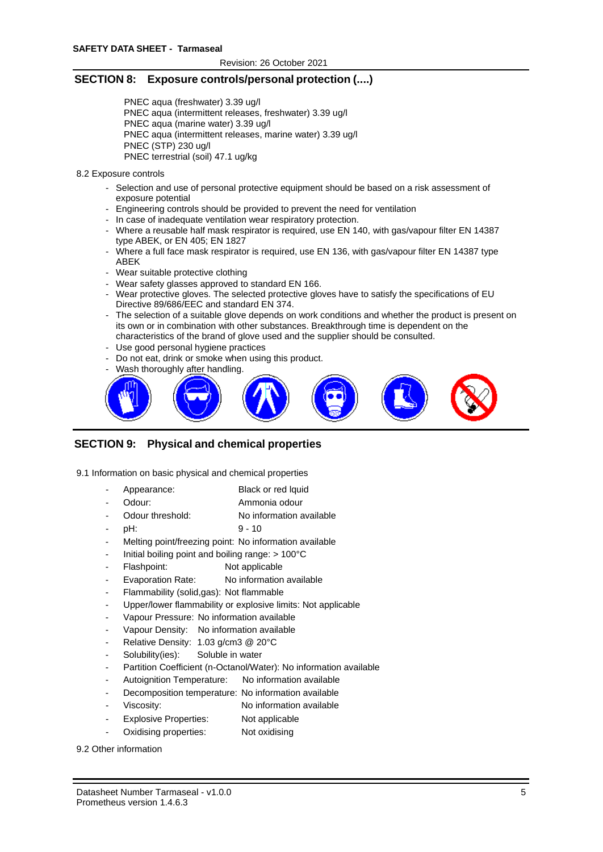## **SECTION 8: Exposure controls/personal protection (....)**

PNEC aqua (freshwater) 3.39 ug/l PNEC aqua (intermittent releases, freshwater) 3.39 ug/l PNEC aqua (marine water) 3.39 ug/l PNEC aqua (intermittent releases, marine water) 3.39 ug/l PNEC (STP) 230 ug/l PNEC terrestrial (soil) 47.1 ug/kg

#### 8.2 Exposure controls

- Selection and use of personal protective equipment should be based on a risk assessment of exposure potential
- Engineering controls should be provided to prevent the need for ventilation
- In case of inadequate ventilation wear respiratory protection.
- Where a reusable half mask respirator is required, use EN 140, with gas/vapour filter EN 14387 type ABEK, or EN 405; EN 1827
- Where a full face mask respirator is required, use EN 136, with gas/vapour filter EN 14387 type ABEK
- Wear suitable protective clothing
- Wear safety glasses approved to standard EN 166.
- Wear protective gloves. The selected protective gloves have to satisfy the specifications of EU Directive 89/686/EEC and standard EN 374.
- The selection of a suitable glove depends on work conditions and whether the product is present on its own or in combination with other substances. Breakthrough time is dependent on the characteristics of the brand of glove used and the supplier should be consulted.
- Use good personal hygiene practices
- Do not eat, drink or smoke when using this product.
- Wash thoroughly after handling.



# **SECTION 9: Physical and chemical properties**

9.1 Information on basic physical and chemical properties

- Appearance: Black or red lquid
- Odour: Ammonia odour
- Odour threshold: No information available
- pH: 9 10
- Melting point/freezing point: No information available
- Initial boiling point and boiling range:  $> 100^{\circ}$ C
- Flashpoint: Not applicable
- Evaporation Rate: No information available
- Flammability (solid,gas): Not flammable
- Upper/lower flammability or explosive limits: Not applicable
- Vapour Pressure: No information available
- Vapour Density: No information available
- Relative Density: 1.03 g/cm3 @ 20°C
- Solubility(ies): Soluble in water
- Partition Coefficient (n-Octanol/Water): No information available
- Autoignition Temperature: No information available
- Decomposition temperature: No information available
- Viscosity: No information available
- Explosive Properties: Not applicable
- Oxidising properties: Not oxidising

9.2 Other information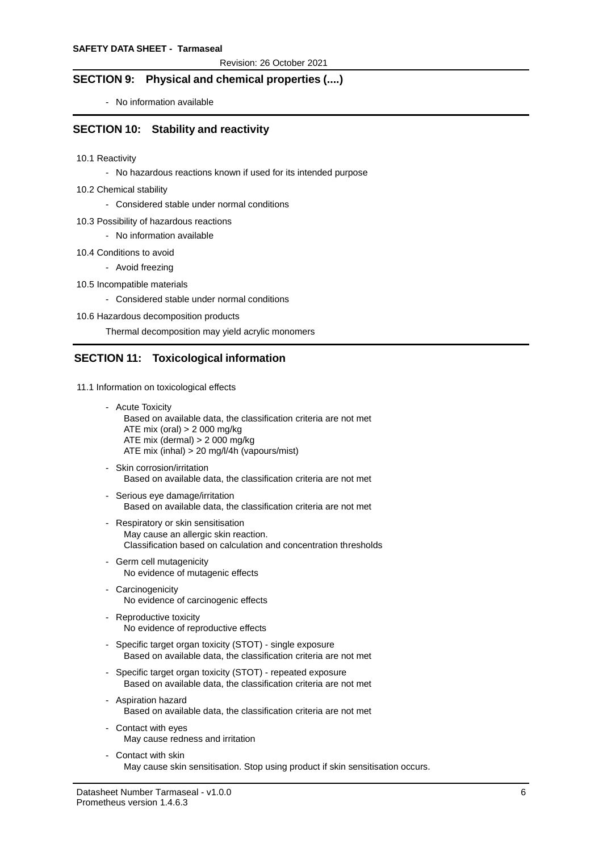# **SECTION 9: Physical and chemical properties (....)**

- No information available

### **SECTION 10: Stability and reactivity**

- 10.1 Reactivity
	- No hazardous reactions known if used for its intended purpose
- 10.2 Chemical stability
	- Considered stable under normal conditions
- 10.3 Possibility of hazardous reactions
	- No information available
- 10.4 Conditions to avoid
	- Avoid freezing
- 10.5 Incompatible materials
	- Considered stable under normal conditions
- 10.6 Hazardous decomposition products

Thermal decomposition may yield acrylic monomers

## **SECTION 11: Toxicological information**

- 11.1 Information on toxicological effects
	- Acute Toxicity Based on available data, the classification criteria are not met ATE mix (oral) > 2 000 mg/kg ATE mix (dermal) > 2 000 mg/kg ATE mix (inhal) > 20 mg/l/4h (vapours/mist)
	- Skin corrosion/irritation Based on available data, the classification criteria are not met
	- Serious eye damage/irritation Based on available data, the classification criteria are not met
	- Respiratory or skin sensitisation May cause an allergic skin reaction. Classification based on calculation and concentration thresholds
	- Germ cell mutagenicity No evidence of mutagenic effects
	- Carcinogenicity No evidence of carcinogenic effects
	- Reproductive toxicity No evidence of reproductive effects
	- Specific target organ toxicity (STOT) single exposure Based on available data, the classification criteria are not met
	- Specific target organ toxicity (STOT) repeated exposure Based on available data, the classification criteria are not met
	- Aspiration hazard Based on available data, the classification criteria are not met
	- Contact with eyes May cause redness and irritation
	- Contact with skin May cause skin sensitisation. Stop using product if skin sensitisation occurs.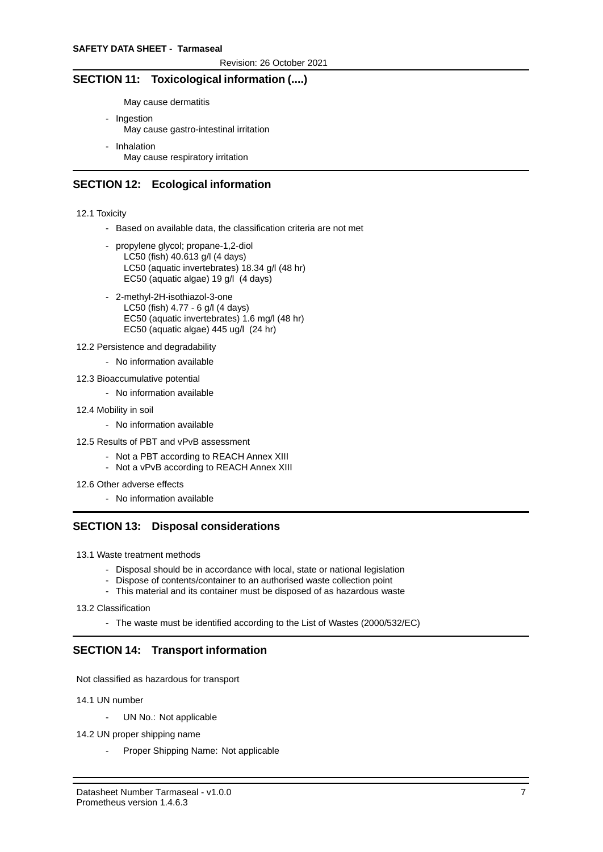## **SECTION 11: Toxicological information (....)**

May cause dermatitis

- Ingestion May cause gastro-intestinal irritation
- Inhalation May cause respiratory irritation

## **SECTION 12: Ecological information**

12.1 Toxicity

- Based on available data, the classification criteria are not met
- propylene glycol; propane-1,2-diol LC50 (fish) 40.613 g/l (4 days) LC50 (aquatic invertebrates) 18.34 g/l (48 hr) EC50 (aquatic algae) 19 g/l (4 days)
- 2-methyl-2H-isothiazol-3-one LC50 (fish) 4.77 - 6 g/l (4 days) EC50 (aquatic invertebrates) 1.6 mg/l (48 hr) EC50 (aquatic algae) 445 ug/l (24 hr)
- 12.2 Persistence and degradability
	- No information available
- 12.3 Bioaccumulative potential
	- No information available
- 12.4 Mobility in soil
	- No information available
- 12.5 Results of PBT and vPvB assessment
	- Not a PBT according to REACH Annex XIII
	- Not a vPvB according to REACH Annex XIII
- 12.6 Other adverse effects
	- No information available

## **SECTION 13: Disposal considerations**

- 13.1 Waste treatment methods
	- Disposal should be in accordance with local, state or national legislation
	- Dispose of contents/container to an authorised waste collection point
	- This material and its container must be disposed of as hazardous waste

13.2 Classification

- The waste must be identified according to the List of Wastes (2000/532/EC)

# **SECTION 14: Transport information**

Not classified as hazardous for transport

14.1 UN number

- UN No.: Not applicable
- 14.2 UN proper shipping name
	- Proper Shipping Name: Not applicable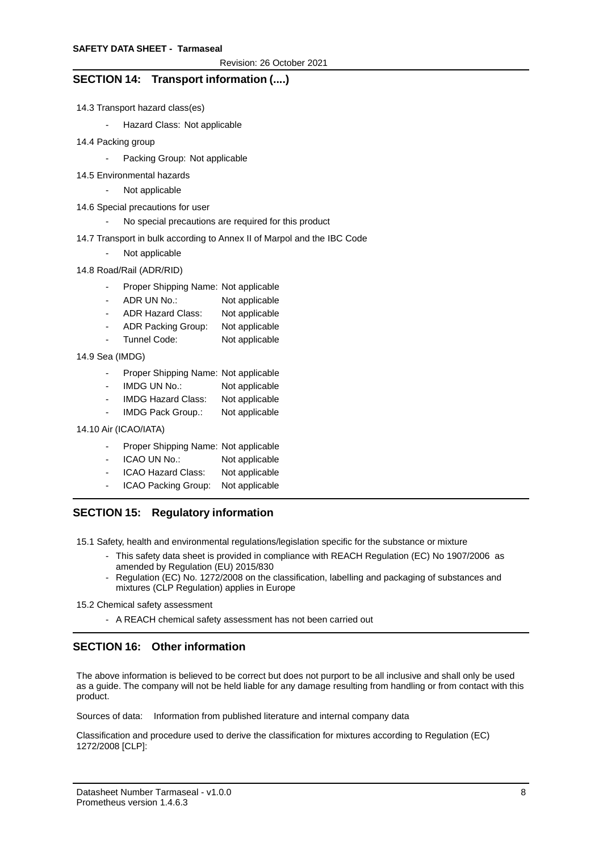## **SECTION 14: Transport information (....)**

- 14.3 Transport hazard class(es)
	- Hazard Class: Not applicable
- 14.4 Packing group
	- Packing Group: Not applicable
- 14.5 Environmental hazards
	- Not applicable
- 14.6 Special precautions for user
	- No special precautions are required for this product
- 14.7 Transport in bulk according to Annex II of Marpol and the IBC Code
	- Not applicable
- 14.8 Road/Rail (ADR/RID)
	- Proper Shipping Name: Not applicable
	- ADR UN No.: Not applicable
	- ADR Hazard Class: Not applicable
	- ADR Packing Group: Not applicable
	- Tunnel Code: Not applicable

14.9 Sea (IMDG)

- Proper Shipping Name: Not applicable
- IMDG UN No.: Not applicable
- IMDG Hazard Class: Not applicable
- IMDG Pack Group.: Not applicable

14.10 Air (ICAO/IATA)

- Proper Shipping Name: Not applicable
- ICAO UN No.: Not applicable
- ICAO Hazard Class: Not applicable
- ICAO Packing Group: Not applicable

# **SECTION 15: Regulatory information**

15.1 Safety, health and environmental regulations/legislation specific for the substance or mixture

- This safety data sheet is provided in compliance with REACH Regulation (EC) No 1907/2006 as amended by Regulation (EU) 2015/830
	- Regulation (EC) No. 1272/2008 on the classification, labelling and packaging of substances and mixtures (CLP Regulation) applies in Europe
- 15.2 Chemical safety assessment
	- A REACH chemical safety assessment has not been carried out

# **SECTION 16: Other information**

The above information is believed to be correct but does not purport to be all inclusive and shall only be used as a guide. The company will not be held liable for any damage resulting from handling or from contact with this product.

Sources of data: Information from published literature and internal company data

Classification and procedure used to derive the classification for mixtures according to Regulation (EC) 1272/2008 [CLP]: